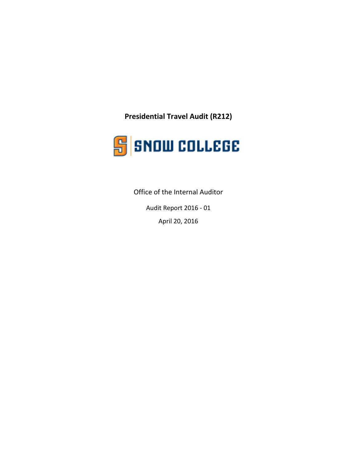**Presidential Travel Audit (R212)**



Office of the Internal Auditor

Audit Report 2016 - 01 April 20, 2016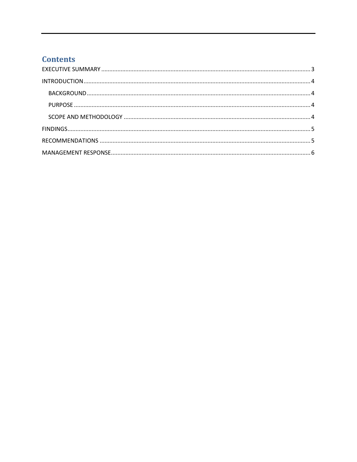# **Contents**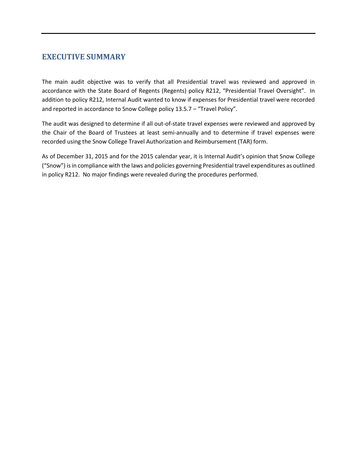## <span id="page-2-0"></span>**EXECUTIVE SUMMARY**

The main audit objective was to verify that all Presidential travel was reviewed and approved in accordance with the State Board of Regents (Regents) policy R212, "Presidential Travel Oversight". In addition to policy R212, Internal Audit wanted to know if expenses for Presidential travel were recorded and reported in accordance to Snow College policy 13.5.7 – "Travel Policy".

The audit was designed to determine if all out-of-state travel expenses were reviewed and approved by the Chair of the Board of Trustees at least semi-annually and to determine if travel expenses were recorded using the Snow College Travel Authorization and Reimbursement (TAR) form.

<span id="page-2-1"></span>As of December 31, 2015 and for the 2015 calendar year, it is Internal Audit's opinion that Snow College ("Snow") is in compliance with the laws and policies governing Presidential travel expenditures as outlined in policy R212. No major findings were revealed during the procedures performed.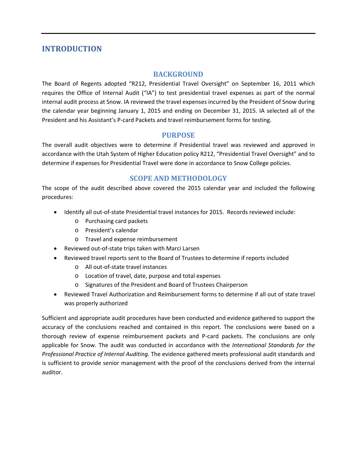### **INTRODUCTION**

#### **BACKGROUND**

<span id="page-3-0"></span>The Board of Regents adopted "R212, Presidential Travel Oversight" on September 16, 2011 which requires the Office of Internal Audit ("IA") to test presidential travel expenses as part of the normal internal audit process at Snow. IA reviewed the travel expenses incurred by the President of Snow during the calendar year beginning January 1, 2015 and ending on December 31, 2015. IA selected all of the President and his Assistant's P-card Packets and travel reimbursement forms for testing.

#### **PURPOSE**

<span id="page-3-1"></span>The overall audit objectives were to determine if Presidential travel was reviewed and approved in accordance with the Utah System of Higher Education policy R212, "Presidential Travel Oversight" and to determine if expenses for Presidential Travel were done in accordance to Snow College policies.

#### **SCOPE AND METHODOLOGY**

<span id="page-3-2"></span>The scope of the audit described above covered the 2015 calendar year and included the following procedures:

- Identify all out-of-state Presidential travel instances for 2015. Records reviewed include:
	- o Purchasing card packets
	- o President's calendar
	- o Travel and expense reimbursement
- Reviewed out-of-state trips taken with Marci Larsen
- Reviewed travel reports sent to the Board of Trustees to determine if reports included
	- o All out-of-state travel instances
	- o Location of travel, date, purpose and total expenses
	- o Signatures of the President and Board of Trustees Chairperson
- Reviewed Travel Authorization and Reimbursement forms to determine if all out of state travel was properly authorized

Sufficient and appropriate audit procedures have been conducted and evidence gathered to support the accuracy of the conclusions reached and contained in this report. The conclusions were based on a thorough review of expense reimbursement packets and P-card packets. The conclusions are only applicable for Snow. The audit was conducted in accordance with the *International Standards for the Professional Practice of Internal Auditing.* The evidence gathered meets professional audit standards and is sufficient to provide senior management with the proof of the conclusions derived from the internal auditor.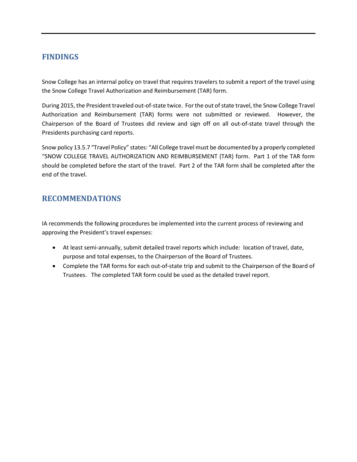# <span id="page-4-0"></span>**FINDINGS**

Snow College has an internal policy on travel that requires travelers to submit a report of the travel using the Snow College Travel Authorization and Reimbursement (TAR) form.

During 2015, the President traveled out-of-state twice. For the out of state travel, the Snow College Travel Authorization and Reimbursement (TAR) forms were not submitted or reviewed. However, the Chairperson of the Board of Trustees did review and sign off on all out-of-state travel through the Presidents purchasing card reports.

Snow policy 13.5.7 "Travel Policy" states: "All College travel must be documented by a properly completed "SNOW COLLEGE TRAVEL AUTHORIZATION AND REIMBURSEMENT (TAR) form. Part 1 of the TAR form should be completed before the start of the travel. Part 2 of the TAR form shall be completed after the end of the travel.

# <span id="page-4-1"></span>**RECOMMENDATIONS**

IA recommends the following procedures be implemented into the current process of reviewing and approving the President's travel expenses:

- At least semi-annually, submit detailed travel reports which include: location of travel, date, purpose and total expenses, to the Chairperson of the Board of Trustees.
- Complete the TAR forms for each out-of-state trip and submit to the Chairperson of the Board of Trustees. The completed TAR form could be used as the detailed travel report.